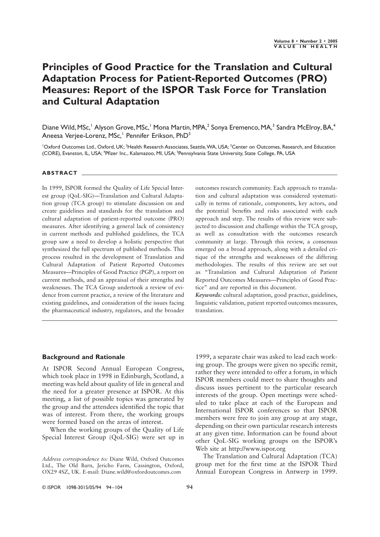# **Principles of Good Practice for the Translation and Cultural Adaptation Process for Patient-Reported Outcomes (PRO) Measures: Report of the ISPOR Task Force for Translation and Cultural Adaptation**

Diane Wild, MSc,<sup>1</sup> Alyson Grove, MSc,<sup>1</sup> Mona Martin, MPA,<sup>2</sup> Sonya Eremenco, MA,<sup>3</sup> Sandra McElroy, BA,<sup>4</sup> Aneesa Verjee-Lorenz, MSc,<sup>1</sup> Pennifer Erikson, PhD<sup>5</sup>

<sup>1</sup>Oxford Outcomes Ltd., Oxford, UK; <sup>2</sup>Health Research Associates, Seattle, WA, USA; <sup>3</sup>Center on Outcomes, Research, and Education (CORE), Evanston, IL, USA; <sup>4</sup>Pfizer Inc., Kalamazoo, MI, USA; <sup>5</sup>Pennsylvania State University, State College, PA, USA

#### **ABSTRACT**

In 1999, ISPOR formed the Quality of Life Special Interest group (QoL-SIG)—Translation and Cultural Adaptation group (TCA group) to stimulate discussion on and create guidelines and standards for the translation and cultural adaptation of patient-reported outcome (PRO) measures. After identifying a general lack of consistency in current methods and published guidelines, the TCA group saw a need to develop a holistic perspective that synthesized the full spectrum of published methods. This process resulted in the development of Translation and Cultural Adaptation of Patient Reported Outcomes Measures—Principles of Good Practice (PGP), a report on current methods, and an appraisal of their strengths and weaknesses. The TCA Group undertook a review of evidence from current practice, a review of the literature and existing guidelines, and consideration of the issues facing the pharmaceutical industry, regulators, and the broader

outcomes research community. Each approach to translation and cultural adaptation was considered systematically in terms of rationale, components, key actors, and the potential benefits and risks associated with each approach and step. The results of this review were subjected to discussion and challenge within the TCA group, as well as consultation with the outcomes research community at large. Through this review, a consensus emerged on a broad approach, along with a detailed critique of the strengths and weaknesses of the differing methodologies. The results of this review are set out as "Translation and Cultural Adaptation of Patient Reported Outcomes Measures—Principles of Good Practice" and are reported in this document.

*Keywords:* cultural adaptation, good practice, guidelines, linguistic validation, patient reported outcomes measures, translation.

#### **Background and Rationale**

At ISPOR Second Annual European Congress, which took place in 1998 in Edinburgh, Scotland, a meeting was held about quality of life in general and the need for a greater presence at ISPOR. At this meeting, a list of possible topics was generated by the group and the attendees identified the topic that was of interest. From there, the working groups were formed based on the areas of interest.

When the working groups of the Quality of Life Special Interest Group (QoL-SIG) were set up in

1999, a separate chair was asked to lead each working group. The groups were given no specific remit, rather they were intended to offer a forum, in which ISPOR members could meet to share thoughts and discuss issues pertinent to the particular research interests of the group. Open meetings were scheduled to take place at each of the European and International ISPOR conferences so that ISPOR members were free to join any group at any stage, depending on their own particular research interests at any given time. Information can be found about other QoL-SIG working groups on the ISPOR's Web site at <http://www.ispor.org>

The Translation and Cultural Adaptation (TCA) group met for the first time at the ISPOR Third Annual European Congress in Antwerp in 1999.

*Address correspondence to:* Diane Wild, Oxford Outcomes Ltd., The Old Barn, Jericho Farm, Cassington, Oxford, OX29 4SZ, UK. E-mail: Diane.wild@oxfordoutcomes.com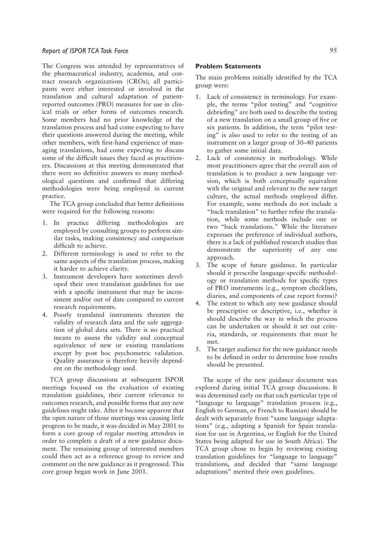The Congress was attended by representatives of the pharmaceutical industry, academia, and contract research organizations (CROs); all participants were either interested or involved in the translation and cultural adaptation of patientreported outcomes (PRO) measures for use in clinical trials or other forms of outcomes research. Some members had no prior knowledge of the translation process and had come expecting to have their questions answered during the meeting, while other members, with first-hand experience of managing translations, had come expecting to discuss some of the difficult issues they faced as practitioners. Discussions at this meeting demonstrated that there were no definitive answers to many methodological questions and confirmed that differing methodologies were being employed in current practice.

The TCA group concluded that better definitions were required for the following reasons:

- 1. In practice differing methodologies are employed by consulting groups to perform similar tasks, making consistency and comparison difficult to achieve.
- 2. Different terminology is used to refer to the same aspects of the translation process, making it harder to achieve clarity.
- 3. Instrument developers have sometimes developed their own translation guidelines for use with a specific instrument that may be inconsistent and/or out of date compared to current research requirements.
- 4. Poorly translated instruments threaten the validity of research data and the safe aggregation of global data sets. There is no practical means to assess the validity and conceptual equivalence of new or existing translations except by post hoc psychometric validation. Quality assurance is therefore heavily dependent on the methodology used.

TCA group discussions at subsequent ISPOR meetings focused on the evaluation of existing translation guidelines, their current relevance to outcomes research, and possible forms that any new guidelines might take. After it became apparent that the open nature of those meetings was causing little progress to be made, it was decided in May 2001 to form a core group of regular meeting attendees in order to complete a draft of a new guidance document. The remaining group of interested members could then act as a reference group to review and comment on the new guidance as it progressed. This core group began work in June 2001.

The main problems initially identified by the TCA group were:

- 1. Lack of consistency in terminology. For example, the terms "pilot testing" and "cognitive debriefing" are both used to describe the testing of a new translation on a small group of five or six patients. In addition, the term "pilot testing" is also used to refer to the testing of an instrument on a larger group of 30–40 patients to gather some initial data.
- 2. Lack of consistency in methodology. While most practitioners agree that the overall aim of translation is to produce a new language version, which is both conceptually equivalent with the original and relevant to the new target culture, the actual methods employed differ. For example, some methods do not include a "back translation" to further refine the translation, while some methods include one or two "back translations." While the literature expresses the preference of individual authors, there is a lack of published research studies that demonstrate the superiority of any one approach.
- 3. The scope of future guidance. In particular should it prescribe language-specific methodology or translation methods for specific types of PRO instruments (e.g., symptom checklists, diaries, and components of case report forms)?
- 4. The extent to which any new guidance should be prescriptive or descriptive, i.e., whether it should describe the way in which the process can be undertaken or should it set out criteria, standards, or requirements that must be met.
- 5. The target audience for the new guidance needs to be defined in order to determine how results should be presented.

The scope of the new guidance document was explored during initial TCA group discussions. It was determined early on that each particular type of "language to language" translation process (e.g., English to German, or French to Russian) should be dealt with separately from "same language adaptations" (e.g., adapting a Spanish for Spain translation for use in Argentina, or English for the United States being adapted for use in South Africa). The TCA group chose to begin by reviewing existing translation guidelines for "language to language" translations, and decided that "same language adaptations" merited their own guidelines.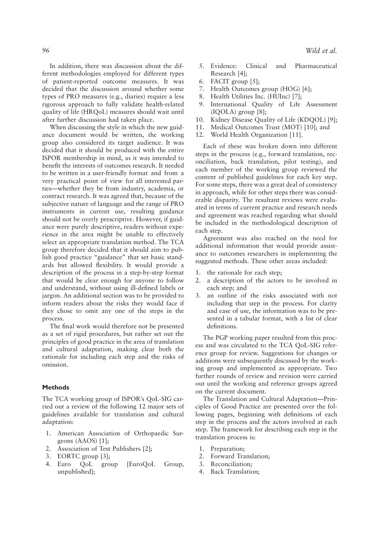In addition, there was discussion about the different methodologies employed for different types of patient-reported outcome measures. It was decided that the discussion around whether some types of PRO measures (e.g., diaries) require a less rigorous approach to fully validate health-related quality of life (HRQoL) measures should wait until after further discussion had taken place.

When discussing the style in which the new guidance document would be written, the working group also considered its target audience. It was decided that it should be produced with the entire ISPOR membership in mind, as it was intended to benefit the interests of outcomes research. It needed to be written in a user-friendly format and from a very practical point of view for all interested parties—whether they be from industry, academia, or contract research. It was agreed that, because of the subjective nature of language and the range of PRO instruments in current use, resulting guidance should not be overly prescriptive. However, if guidance were purely descriptive, readers without experience in the area might be unable to effectively select an appropriate translation method. The TCA group therefore decided that it should aim to publish good practice "guidance" that set basic standards but allowed flexibility. It would provide a description of the process in a step-by-step format that would be clear enough for anyone to follow and understand, without using ill-defined labels or jargon. An additional section was to be provided to inform readers about the risks they would face if they chose to omit any one of the steps in the process.

The final work would therefore not be presented as a set of rigid procedures, but rather set out the principles of good practice in the area of translation and cultural adaptation, making clear both the rationale for including each step and the risks of omission.

#### **Methods**

The TCA working group of ISPOR's QoL-SIG carried out a review of the following 12 major sets of guidelines available for translation and cultural adaptation:

- 1. American Association of Orthopaedic Surgeons (AAOS) [1];
- 2. Association of Test Publishers [2];
- 3. EORTC group [3];
- 4. Euro QoL group [EuroQoL Group, unpublished];
- 5. Evidence: Clinical and Pharmaceutical Research [4];
- 6. FACIT group [5];
- 7. Health Outcomes group (HOG) [6];
- 8. Health Utilities Inc. (HUInc) [7];
- 9. International Quality of Life Assessment (IQOLA) group [8];
- 10. Kidney Disease Quality of Life (KDQOL) [9];
- 11. Medical Outcomes Trust (MOT) [10]; and
- 12. World Health Organization [11].

Each of these was broken down into different steps in the process (e.g., forward translation, reconciliation, back translation, pilot testing), and each member of the working group reviewed the content of published guidelines for each key step. For some steps, there was a great deal of consistency in approach, while for other steps there was considerable disparity. The resultant reviews were evaluated in terms of current practice and research needs and agreement was reached regarding what should be included in the methodological description of each step.

Agreement was also reached on the need for additional information that would provide assistance to outcomes researchers in implementing the suggested methods. These other areas included:

- 1. the rationale for each step;
- 2. a description of the actors to be involved in each step; and
- 3. an outline of the risks associated with not including that step in the process. For clarity and ease of use, the information was to be presented in a tabular format, with a list of clear definitions.

The PGP working paper resulted from this process and was circulated to the TCA QoL-SIG reference group for review. Suggestions for changes or additions were subsequently discussed by the working group and implemented as appropriate. Two further rounds of review and revision were carried out until the working and reference groups agreed on the current document.

The Translation and Cultural Adaptation—Principles of Good Practice are presented over the following pages, beginning with definitions of each step in the process and the actors involved at each step. The framework for describing each step in the translation process is:

- 1. Preparation;
- 2. Forward Translation;
- 3. Reconciliation;
- 4. Back Translation;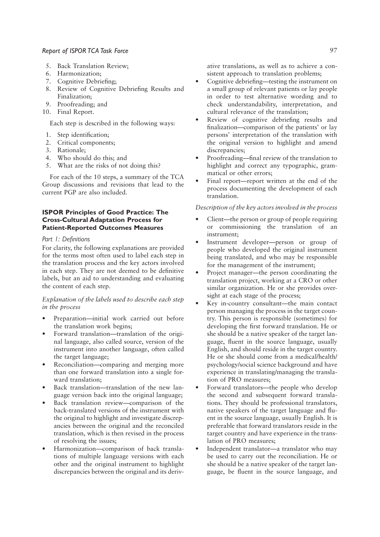- 5. Back Translation Review;
- 6. Harmonization;
- 7. Cognitive Debriefing;
- 8. Review of Cognitive Debriefing Results and Finalization;
- 9. Proofreading; and
- 10. Final Report.

Each step is described in the following ways:

- 1. Step identification;
- 2. Critical components;
- 3. Rationale;
- 4. Who should do this; and
- 5. What are the risks of not doing this?

For each of the 10 steps, a summary of the TCA Group discussions and revisions that lead to the current PGP are also included.

## **ISPOR Principles of Good Practice: The Cross-Cultural Adaptation Process for Patient-Reported Outcomes Measures**

## *Part 1: Definitions*

For clarity, the following explanations are provided for the terms most often used to label each step in the translation process and the key actors involved in each step. They are not deemed to be definitive labels, but an aid to understanding and evaluating the content of each step.

## *Explanation of the labels used to describe each step in the process*

- Preparation—initial work carried out before the translation work begins;
- Forward translation—translation of the original language, also called source, version of the instrument into another language, often called the target language;
- Reconciliation—comparing and merging more than one forward translation into a single forward translation;
- Back translation—translation of the new language version back into the original language;
- Back translation review—comparison of the back-translated versions of the instrument with the original to highlight and investigate discrepancies between the original and the reconciled translation, which is then revised in the process of resolving the issues;
- Harmonization—comparison of back translations of multiple language versions with each other and the original instrument to highlight discrepancies between the original and its deriv-

ative translations, as well as to achieve a consistent approach to translation problems:

- Cognitive debriefing—testing the instrument on a small group of relevant patients or lay people in order to test alternative wording and to check understandability, interpretation, and cultural relevance of the translation;
- Review of cognitive debriefing results and finalization—comparison of the patients' or lay persons' interpretation of the translation with the original version to highlight and amend discrepancies;
- Proofreading—final review of the translation to highlight and correct any typographic, grammatical or other errors;
- Final report—report written at the end of the process documenting the development of each translation.

#### *Description of the key actors involved in the process*

- Client—the person or group of people requiring or commissioning the translation of an instrument;
- Instrument developer—person or group of people who developed the original instrument being translated, and who may be responsible for the management of the instrument;
- Project manager—the person coordinating the translation project, working at a CRO or other similar organization. He or she provides oversight at each stage of the process;
- Key in-country consultant—the main contact person managing the process in the target country. This person is responsible (sometimes) for developing the first forward translation. He or she should be a native speaker of the target language, fluent in the source language, usually English, and should reside in the target country. He or she should come from a medical/health/ psychology/social science background and have experience in translating/managing the translation of PRO measures;
- Forward translators—the people who develop the second and subsequent forward translations. They should be professional translators, native speakers of the target language and fluent in the source language, usually English. It is preferable that forward translators reside in the target country and have experience in the translation of PRO measures;
- Independent translator—a translator who may be used to carry out the reconciliation. He or she should be a native speaker of the target language, be fluent in the source language, and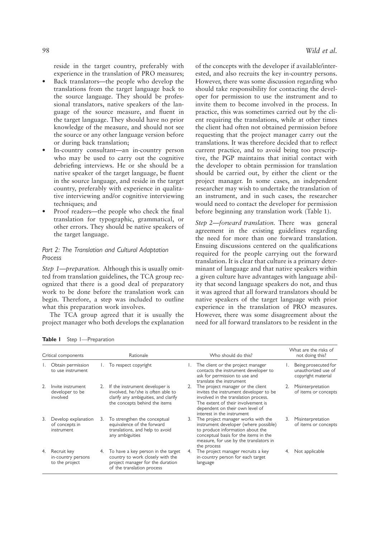reside in the target country, preferably with experience in the translation of PRO measures;

- Back translators—the people who develop the translations from the target language back to the source language. They should be professional translators, native speakers of the language of the source measure, and fluent in the target language. They should have no prior knowledge of the measure, and should not see the source or any other language version before or during back translation;
- In-country consultant—an in-country person who may be used to carry out the cognitive debriefing interviews. He or she should be a native speaker of the target language, be fluent in the source language, and reside in the target country, preferably with experience in qualitative interviewing and/or cognitive interviewing techniques; and
- Proof readers—the people who check the final translation for typographic, grammatical, or other errors. They should be native speakers of the target language.

## *Part 2: The Translation and Cultural Adaptation Process*

*Step 1—preparation.* Although this is usually omitted from translation guidelines, the TCA group recognized that there is a good deal of preparatory work to be done before the translation work can begin. Therefore, a step was included to outline what this preparation work involves.

The TCA group agreed that it is usually the project manager who both develops the explanation of the concepts with the developer if available/interested, and also recruits the key in-country persons. However, there was some discussion regarding who should take responsibility for contacting the developer for permission to use the instrument and to invite them to become involved in the process. In practice, this was sometimes carried out by the client requiring the translations, while at other times the client had often not obtained permission before requesting that the project manager carry out the translations. It was therefore decided that to reflect current practice, and to avoid being too prescriptive, the PGP maintains that initial contact with the developer to obtain permission for translation should be carried out, by either the client or the project manager. In some cases, an independent researcher may wish to undertake the translation of an instrument, and in such cases, the researcher would need to contact the developer for permission before beginning any translation work (Table 1).

*Step 2—forward translation.* There was general agreement in the existing guidelines regarding the need for more than one forward translation. Ensuing discussions centered on the qualifications required for the people carrying out the forward translation. It is clear that culture is a primary determinant of language and that native speakers within a given culture have advantages with language ability that second language speakers do not, and thus it was agreed that all forward translators should be native speakers of the target language with prior experience in the translation of PRO measures. However, there was some disagreement about the need for all forward translators to be resident in the

|  |  |  | <b>Table I</b> Step I-Preparation |
|--|--|--|-----------------------------------|
|--|--|--|-----------------------------------|

| Critical components |                                                     | Rationale |                                                                                                                                                 |    | Who should do this?                                                                                                                                                                                                        | What are the risks of<br>not doing this? |                                                                   |  |
|---------------------|-----------------------------------------------------|-----------|-------------------------------------------------------------------------------------------------------------------------------------------------|----|----------------------------------------------------------------------------------------------------------------------------------------------------------------------------------------------------------------------------|------------------------------------------|-------------------------------------------------------------------|--|
|                     | Obtain permission<br>to use instrument              | Ι.        | To respect copyright                                                                                                                            | Ι. | The client or the project manager<br>contacts the instrument developer to<br>ask for permission to use and<br>translate the instrument                                                                                     |                                          | Being prosecuted for<br>unauthorized use of<br>copyright material |  |
| 2.                  | Invite instrument<br>developer to be<br>involved    |           | 2. If the instrument developer is<br>involved, he/she is often able to<br>clarify any ambiguities, and clarify<br>the concepts behind the items | 2. | The project manager or the client<br>invites the instrument developer to be<br>involved in the translation process.<br>The extent of their involvement is<br>dependent on their own level of<br>interest in the instrument | 2.                                       | Misinterpretation<br>of items or concepts                         |  |
| 3.                  | Develop explanation<br>of concepts in<br>instrument | 3.        | To strengthen the conceptual<br>equivalence of the forward<br>translations, and help to avoid<br>any ambiguities                                | 3. | The project manager works with the<br>instrument developer (where possible)<br>to produce information about the<br>conceptual basis for the items in the<br>measure, for use by the translators in<br>the process          | 3.                                       | Misinterpretation<br>of items or concepts                         |  |
| 4.                  | Recruit key<br>in-country persons<br>to the project | 4.        | To have a key person in the target<br>country to work closely with the<br>project manager for the duration<br>of the translation process        | 4. | The project manager recruits a key<br>in-country person for each target<br>language                                                                                                                                        | 4.                                       | Not applicable                                                    |  |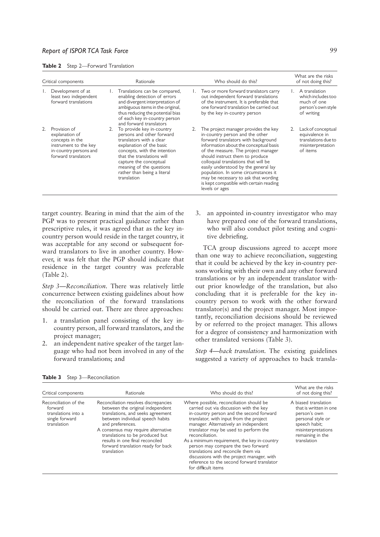| Critical components |                                                                                                                             |    | Rationale                                                                                                                                                                                                                                                                        |    | Who should do this?                                                                                                                                                                                                                                                                                                                                                                                                                                             | What are the risks<br>of not doing this? |                                                                                              |  |
|---------------------|-----------------------------------------------------------------------------------------------------------------------------|----|----------------------------------------------------------------------------------------------------------------------------------------------------------------------------------------------------------------------------------------------------------------------------------|----|-----------------------------------------------------------------------------------------------------------------------------------------------------------------------------------------------------------------------------------------------------------------------------------------------------------------------------------------------------------------------------------------------------------------------------------------------------------------|------------------------------------------|----------------------------------------------------------------------------------------------|--|
|                     | Development of at<br>least two independent<br>forward translations                                                          |    | Translations can be compared,<br>enabling detection of errors<br>and divergent interpretation of<br>ambiguous items in the original,<br>thus reducing the potential bias<br>of each key in-country person<br>and forward translators                                             | Ι. | Two or more forward translators carry<br>out independent forward translations<br>of the instrument. It is preferable that<br>one forward translation be carried out<br>by the key in-country person                                                                                                                                                                                                                                                             | L.                                       | A translation<br>which includes too<br>much of one<br>person's own style<br>of writing       |  |
| 2.                  | Provision of<br>explanation of<br>concepts in the<br>instrument to the key<br>in-country persons and<br>forward translators | 2. | To provide key in-country<br>persons and other forward<br>translators with a clear<br>explanation of the basic<br>concepts, with the intention<br>that the translations will<br>capture the conceptual<br>meaning of the questions<br>rather than being a literal<br>translation | 2. | The project manager provides the key<br>in-country person and the other<br>forward translators with background<br>information about the conceptual basis<br>of the measure. The project manager<br>should instruct them to produce<br>colloquial translations that will be<br>easily understood by the general lay<br>population. In some circumstances it<br>may be necessary to ask that wording<br>is kept compatible with certain reading<br>levels or ages | 2.                                       | Lack of conceptual<br>equivalence in<br>translations due to<br>misinterpretation<br>of items |  |

target country. Bearing in mind that the aim of the PGP was to present practical guidance rather than prescriptive rules, it was agreed that as the key incountry person would reside in the target country, it was acceptable for any second or subsequent forward translators to live in another country. However, it was felt that the PGP should indicate that residence in the target country was preferable (Table 2).

*Step 3—Reconciliation.* There was relatively little concurrence between existing guidelines about how the reconciliation of the forward translations should be carried out. There are three approaches:

- 1. a translation panel consisting of the key incountry person, all forward translators, and the project manager;
- 2. an independent native speaker of the target language who had not been involved in any of the forward translations; and

3. an appointed in-country investigator who may have prepared one of the forward translations, who will also conduct pilot testing and cognitive debriefing.

TCA group discussions agreed to accept more than one way to achieve reconciliation, suggesting that it could be achieved by the key in-country persons working with their own and any other forward translations or by an independent translator without prior knowledge of the translation, but also concluding that it is preferable for the key incountry person to work with the other forward translator(s) and the project manager. Most importantly, reconciliation decisions should be reviewed by or referred to the project manager. This allows for a degree of consistency and harmonization with other translated versions (Table 3).

*Step 4—back translation.* The existing guidelines suggested a variety of approaches to back transla-

| Critical components                                                                      | Rationale                                                                                                                                                                                                                                                                                                                                | Who should do this?                                                                                                                                                                                                                                                                                                                                                                                                                                                                                                             | What are the risks<br>of not doing this?                                                                                                                      |  |  |
|------------------------------------------------------------------------------------------|------------------------------------------------------------------------------------------------------------------------------------------------------------------------------------------------------------------------------------------------------------------------------------------------------------------------------------------|---------------------------------------------------------------------------------------------------------------------------------------------------------------------------------------------------------------------------------------------------------------------------------------------------------------------------------------------------------------------------------------------------------------------------------------------------------------------------------------------------------------------------------|---------------------------------------------------------------------------------------------------------------------------------------------------------------|--|--|
| Reconciliation of the<br>forward<br>translations into a<br>single forward<br>translation | Reconciliation resolves discrepancies<br>between the original independent<br>translations, and seeks agreement<br>between individual speech habits<br>and preferences.<br>A consensus may require alternative<br>translations to be produced but<br>results in one final reconciled<br>forward translation ready for back<br>translation | Where possible, reconciliation should be<br>carried out via discussion with the key<br>in-country person and the second forward<br>translator, with input from the project<br>manager. Alternatively an independent<br>translator may be used to perform the<br>reconciliation.<br>As a minimum requirement, the key in-country<br>person may compare the two forward<br>translations and reconcile them via<br>discussions with the project manager, with<br>reference to the second forward translator<br>for difficult items | A biased translation<br>that is written in one<br>person's own<br>personal style or<br>speech habit;<br>misinterpretations<br>remaining in the<br>translation |  |  |

**Table 3** Step 3—Reconciliation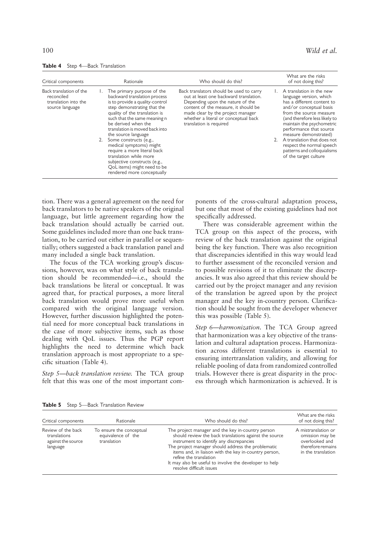| Critical components                                                              | Rationale                                                                                                                                                                                                                                                                                                                                                                                                                                                                                      | Who should do this?                                                                                                                                                                                                                                                    | What are the risks<br>of not doing this?                                                                                                                                                                                                                                                                                                                                      |
|----------------------------------------------------------------------------------|------------------------------------------------------------------------------------------------------------------------------------------------------------------------------------------------------------------------------------------------------------------------------------------------------------------------------------------------------------------------------------------------------------------------------------------------------------------------------------------------|------------------------------------------------------------------------------------------------------------------------------------------------------------------------------------------------------------------------------------------------------------------------|-------------------------------------------------------------------------------------------------------------------------------------------------------------------------------------------------------------------------------------------------------------------------------------------------------------------------------------------------------------------------------|
| Back translation of the<br>reconciled<br>translation into the<br>source language | The primary purpose of the<br>backward translation process<br>is to provide a quality-control<br>step demonstrating that the<br>quality of the translation is<br>such that the same meaning n<br>be derived when the<br>translation is moved back into<br>the source language<br>Some constructs (e.g.,<br>2.<br>medical symptoms) might<br>require a more literal back<br>translation while more<br>subjective constructs (e.g.,<br>QoL items) might need to be<br>rendered more conceptually | Back translators should be used to carry<br>out at least one backward translation.<br>Depending upon the nature of the<br>content of the measure, it should be<br>made clear by the project manager<br>whether a literal or conceptual back<br>translation is required | A translation in the new<br>language version, which<br>has a different content to<br>and/or conceptual basis<br>from the source measure<br>(and therefore less likely to<br>maintain the psychometric<br>performance that source<br>measure demonstrated)<br>A translation that does not<br>respect the normal speech<br>patterns and colloquialisms<br>of the target culture |

**Table 4** Step 4—Back Translation

tion. There was a general agreement on the need for back translators to be native speakers of the original language, but little agreement regarding how the back translation should actually be carried out. Some guidelines included more than one back translation, to be carried out either in parallel or sequentially; others suggested a back translation panel and many included a single back translation.

The focus of the TCA working group's discussions, however, was on what style of back translation should be recommended—i.e., should the back translations be literal or conceptual. It was agreed that, for practical purposes, a more literal back translation would prove more useful when compared with the original language version. However, further discussion highlighted the potential need for more conceptual back translations in the case of more subjective items, such as those dealing with QoL issues. Thus the PGP report highlights the need to determine which back translation approach is most appropriate to a specific situation (Table 4).

*Step 5—back translation review.* The TCA group felt that this was one of the most important components of the cross-cultural adaptation process, but one that most of the existing guidelines had not specifically addressed.

There was considerable agreement within the TCA group on this aspect of the process, with review of the back translation against the original being the key function. There was also recognition that discrepancies identified in this way would lead to further assessment of the reconciled version and to possible revisions of it to eliminate the discrepancies. It was also agreed that this review should be carried out by the project manager and any revision of the translation be agreed upon by the project manager and the key in-country person. Clarification should be sought from the developer whenever this was possible (Table 5).

*Step 6—harmonization.* The TCA Group agreed that harmonization was a key objective of the translation and cultural adaptation process. Harmonization across different translations is essential to ensuring intertranslation validity, and allowing for reliable pooling of data from randomized controlled trials. However there is great disparity in the process through which harmonization is achieved. It is

| Critical components                                                  | Rationale                                                     | Who should do this?                                                                                                                                                                                                                                                                                                                                                                    | What are the risks<br>of not doing this?                                                            |
|----------------------------------------------------------------------|---------------------------------------------------------------|----------------------------------------------------------------------------------------------------------------------------------------------------------------------------------------------------------------------------------------------------------------------------------------------------------------------------------------------------------------------------------------|-----------------------------------------------------------------------------------------------------|
| Review of the back<br>translations<br>against the source<br>language | To ensure the conceptual<br>equivalence of the<br>translation | The project manager and the key in-country person<br>should review the back translations against the source<br>instrument to identify any discrepancies<br>The project manager should address the problematic<br>items and, in liaison with the key in-country person,<br>refine the translation<br>It may also be useful to involve the developer to help<br>resolve difficult issues | A mistranslation or<br>omission may be<br>overlooked and<br>therefore remains<br>in the translation |

Table 5 Step 5-Back Translation Review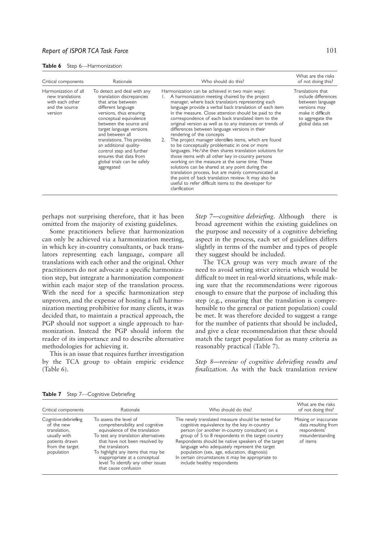|  | Table 6 Step 6-Harmonization |
|--|------------------------------|
|--|------------------------------|

| Critical components                                                                      | Rationale                                                                                                                                                                                                                                                                                                                                                                                      | Who should do this?                                                                                                                                                                                                                                                                                                                                                                                                                                                                                                                                                                                                                                                                                                                                                                                                                                                                                                                                                                                       | What are the risks<br>of not doing this?                                                                                                 |
|------------------------------------------------------------------------------------------|------------------------------------------------------------------------------------------------------------------------------------------------------------------------------------------------------------------------------------------------------------------------------------------------------------------------------------------------------------------------------------------------|-----------------------------------------------------------------------------------------------------------------------------------------------------------------------------------------------------------------------------------------------------------------------------------------------------------------------------------------------------------------------------------------------------------------------------------------------------------------------------------------------------------------------------------------------------------------------------------------------------------------------------------------------------------------------------------------------------------------------------------------------------------------------------------------------------------------------------------------------------------------------------------------------------------------------------------------------------------------------------------------------------------|------------------------------------------------------------------------------------------------------------------------------------------|
| Harmonization of all<br>new translations<br>with each other<br>and the source<br>version | To detect and deal with any<br>translation discrepancies<br>that arise between<br>different language<br>versions, thus ensuring<br>conceptual equivalence<br>between the source and<br>target language versions<br>and between all<br>translations. This provides<br>an additional quality-<br>control step and further<br>ensures that data from<br>global trials can be safely<br>aggregated | Harmonization can be achieved in two main ways:<br>A harmonization meeting chaired by the project<br>manager, where back translators representing each<br>language provide a verbal back translation of each item<br>in the measure. Close attention should be paid to the<br>correspondence of each back translated item to the<br>original version as well as to any instances or trends of<br>differences between language versions in their<br>rendering of the concepts<br>The project manager identifies items, which are found<br>2.<br>to be conceptually problematic in one or more<br>languages. He/she then shares translation solutions for<br>those items with all other key in-country persons<br>working on the measure at the same time. These<br>solutions can be shared at any point during the<br>translation process, but are mainly communicated at<br>the point of back translation review. It may also be<br>useful to refer difficult items to the developer for<br>clarification | Translations that<br>include differences<br>between language<br>versions may<br>make it difficult<br>to aggregate the<br>global data set |

perhaps not surprising therefore, that it has been omitted from the majority of existing guidelines.

Some practitioners believe that harmonization can only be achieved via a harmonization meeting, in which key in-country consultants, or back translators representing each language, compare all translations with each other and the original. Other practitioners do not advocate a specific harmonization step, but integrate a harmonization component within each major step of the translation process. With the need for a specific harmonization step unproven, and the expense of hosting a full harmonization meeting prohibitive for many clients, it was decided that, to maintain a practical approach, the PGP should not support a single approach to harmonization. Instead the PGP should inform the reader of its importance and to describe alternative methodologies for achieving it.

This is an issue that requires further investigation by the TCA group to obtain empiric evidence (Table 6).

*Step 7—cognitive debriefing.* Although there is broad agreement within the existing guidelines on the purpose and necessity of a cognitive debriefing aspect in the process, each set of guidelines differs slightly in terms of the number and types of people they suggest should be included.

The TCA group was very much aware of the need to avoid setting strict criteria which would be difficult to meet in real-world situations, while making sure that the recommendations were rigorous enough to ensure that the purpose of including this step (e.g., ensuring that the translation is comprehensible to the general or patient population) could be met. It was therefore decided to suggest a range for the number of patients that should be included, and give a clear recommendation that these should match the target population for as many criteria as reasonably practical (Table 7).

*Step 8—review of cognitive debriefing results and finalization.* As with the back translation review

| Critical components                                                                                                   | Rationale                                                                                                                                                                                                                                                                                                                     | Who should do this?                                                                                                                                                                                                                                                                                                                                                                                                                               | What are the risks<br>of not doing this?                                                     |
|-----------------------------------------------------------------------------------------------------------------------|-------------------------------------------------------------------------------------------------------------------------------------------------------------------------------------------------------------------------------------------------------------------------------------------------------------------------------|---------------------------------------------------------------------------------------------------------------------------------------------------------------------------------------------------------------------------------------------------------------------------------------------------------------------------------------------------------------------------------------------------------------------------------------------------|----------------------------------------------------------------------------------------------|
| Cognitive debriefing<br>of the new<br>translation,<br>usually with<br>patients drawn<br>from the target<br>population | To assess the level of<br>comprehensibility and cognitive<br>equivalence of the translation<br>To test any translation alternatives<br>that have not been resolved by<br>the translators<br>To highlight any items that may be<br>inappropriate at a conceptual<br>level To identify any other issues<br>that cause confusion | The newly translated measure should be tested for<br>cognitive equivalence by the key in-country<br>person (or another in-country consultant) on a<br>group of 5 to 8 respondents in the target country<br>Respondents should be native speakers of the target<br>language who adequately represent the target<br>population (sex, age, education, diagnosis)<br>In certain circumstances it may be appropriate to<br>include healthy respondents | Missing or inaccurate<br>data resulting from<br>respondents'<br>misunderstanding<br>of items |

Table 7 Step 7-Cognitive Debriefing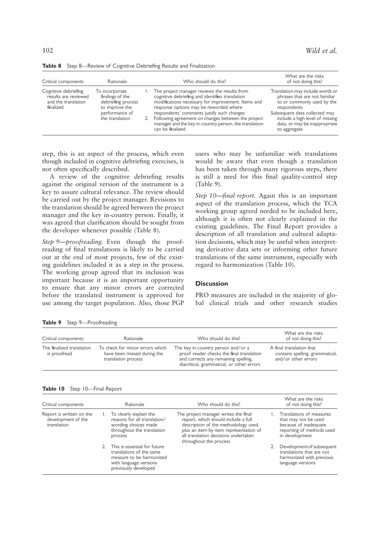| Critical components                                                              | Rationale                                                                                                      | Who should do this?                                                                                                                                                                                                                                                                                                                                                               | What are the risks<br>of not doing this?                                                                                                                                                                                            |
|----------------------------------------------------------------------------------|----------------------------------------------------------------------------------------------------------------|-----------------------------------------------------------------------------------------------------------------------------------------------------------------------------------------------------------------------------------------------------------------------------------------------------------------------------------------------------------------------------------|-------------------------------------------------------------------------------------------------------------------------------------------------------------------------------------------------------------------------------------|
| Cognitive debriefing<br>results are reviewed<br>and the translation<br>finalized | To incorporate<br>findings of the<br>debriefing process<br>to improve the<br>performance of<br>the translation | The project manager reviews the results from<br>cognitive debriefing and identifies translation<br>modifications necessary for improvement. Items and<br>response options may be reworded where<br>respondents' comments justify such changes<br>Following agreement on changes between the project<br>manager and the key in-country person, the translation<br>can be finalized | Translation may include words or<br>phrases that are not familiar<br>to or commonly used by the<br>respondents<br>Subsequent data collected may<br>include a high level of missing<br>data, or may be inappropriate<br>to aggregate |

**Table 8** Step 8—Review of Cognitive Debriefing Results and Finalization

step, this is an aspect of the process, which even though included in cognitive debriefing exercises, is not often specifically described.

A review of the cognitive debriefing results against the original version of the instrument is a key to assure cultural relevance. The review should be carried out by the project manager. Revisions to the translation should be agreed between the project manager and the key in-country person. Finally, it was agreed that clarification should be sought from the developer whenever possible (Table 8).

*Step 9—proofreading.* Even though the proofreading of final translations is likely to be carried out at the end of most projects, few of the existing guidelines included it as a step in the process. The working group agreed that its inclusion was important because it is an important opportunity to ensure that any minor errors are corrected before the translated instrument is approved for use among the target population. Also, those PGP

users who may be unfamiliar with translations would be aware that even though a translation has been taken through many rigorous steps, there is still a need for this final quality-control step (Table 9).

*Step 10—final report.* Again this is an important aspect of the translation process, which the TCA working group agreed needed to be included here, although it is often not clearly explained in the existing guidelines. The Final Report provides a description of all translation and cultural adaptation decisions, which may be useful when interpreting derivative data sets or informing other future translations of the same instrument, especially with regard to harmonization (Table 10).

### **Discussion**

PRO measures are included in the majority of global clinical trials and other research studies

**Table 9** Step 9—Proofreading

| Critical components                       | Rationale                                                                             | Who should do this?                                                                                                                                                  | What are the risks<br>of not doing this?                                           |
|-------------------------------------------|---------------------------------------------------------------------------------------|----------------------------------------------------------------------------------------------------------------------------------------------------------------------|------------------------------------------------------------------------------------|
| The finalized translation<br>is proofread | To check for minor errors which<br>have been missed during the<br>translation process | The key in-country person and/or a<br>proof reader checks the final translation<br>and corrects any remaining spelling,<br>diacritical, grammatical, or other errors | A final translation that<br>contains spelling, grammatical,<br>and/or other errors |

| Table 10 Step 10-Final Report |  |  |  |
|-------------------------------|--|--|--|
|-------------------------------|--|--|--|

| Critical components                                           | Rationale                                                                                                                                 | Who should do this?                                                                                                                                                                                                             | What are the risks<br>of not doing this?                                                                                 |
|---------------------------------------------------------------|-------------------------------------------------------------------------------------------------------------------------------------------|---------------------------------------------------------------------------------------------------------------------------------------------------------------------------------------------------------------------------------|--------------------------------------------------------------------------------------------------------------------------|
| Report is written on the<br>development of the<br>translation | To clearly explain the<br>reasons for all translation/<br>wording choices made<br>throughout the translation<br>process                   | The project manager writes the final<br>report, which should include a full<br>description of the methodology used,<br>plus an item-by-item representation of<br>all translation decisions undertaken<br>throughout the process | Translations of measures<br>that may not be used<br>because of inadequate<br>reporting of methods used<br>in development |
|                                                               | 2. This is essential for future<br>translations of the same<br>measure to be harmonized<br>with language versions<br>previously developed |                                                                                                                                                                                                                                 | Development of subsequent<br>translations that are not<br>harmonized with previous<br>language versions                  |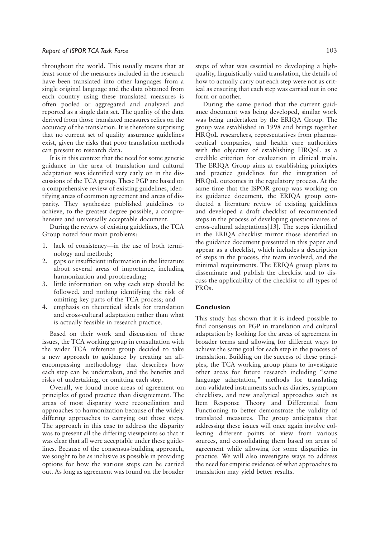throughout the world. This usually means that at least some of the measures included in the research have been translated into other languages from a single original language and the data obtained from each country using these translated measures is often pooled or aggregated and analyzed and reported as a single data set. The quality of the data derived from those translated measures relies on the accuracy of the translation. It is therefore surprising that no current set of quality assurance guidelines exist, given the risks that poor translation methods can present to research data.

It is in this context that the need for some generic guidance in the area of translation and cultural adaptation was identified very early on in the discussions of the TCA group. These PGP are based on a comprehensive review of existing guidelines, identifying areas of common agreement and areas of disparity. They synthesize published guidelines to achieve, to the greatest degree possible, a comprehensive and universally acceptable document.

During the review of existing guidelines, the TCA Group noted four main problems:

- 1. lack of consistency—in the use of both terminology and methods;
- 2. gaps or insufficient information in the literature about several areas of importance, including harmonization and proofreading;
- 3. little information on why each step should be followed, and nothing identifying the risk of omitting key parts of the TCA process; and
- 4. emphasis on theoretical ideals for translation and cross-cultural adaptation rather than what is actually feasible in research practice.

Based on their work and discussion of these issues, the TCA working group in consultation with the wider TCA reference group decided to take a new approach to guidance by creating an allencompassing methodology that describes how each step can be undertaken, and the benefits and risks of undertaking, or omitting each step.

Overall, we found more areas of agreement on principles of good practice than disagreement. The areas of most disparity were reconciliation and approaches to harmonization because of the widely differing approaches to carrying out those steps. The approach in this case to address the disparity was to present all the differing viewpoints so that it was clear that all were acceptable under these guidelines. Because of the consensus-building approach, we sought to be as inclusive as possible in providing options for how the various steps can be carried out. As long as agreement was found on the broader

steps of what was essential to developing a highquality, linguistically valid translation, the details of how to actually carry out each step were not as critical as ensuring that each step was carried out in one form or another.

During the same period that the current guidance document was being developed, similar work was being undertaken by the ERIQA Group. The group was established in 1998 and brings together HRQoL researchers, representatives from pharmaceutical companies, and health care authorities with the objective of establishing HRQoL as a credible criterion for evaluation in clinical trials. The ERIQA Group aims at establishing principles and practice guidelines for the integration of HRQoL outcomes in the regulatory process. At the same time that the ISPOR group was working on its guidance document, the ERIQA group conducted a literature review of existing guidelines and developed a draft checklist of recommended steps in the process of developing questionnaires of cross-cultural adaptations[13]. The steps identified in the ERIQA checklist mirror those identified in the guidance document presented in this paper and appear as a checklist, which includes a description of steps in the process, the team involved, and the minimal requirements. The ERIQA group plans to disseminate and publish the checklist and to discuss the applicability of the checklist to all types of PROs.

#### **Conclusion**

This study has shown that it is indeed possible to find consensus on PGP in translation and cultural adaptation by looking for the areas of agreement in broader terms and allowing for different ways to achieve the same goal for each step in the process of translation. Building on the success of these principles, the TCA working group plans to investigate other areas for future research including "same language adaptation," methods for translating non-validated instruments such as diaries, symptom checklists, and new analytical approaches such as Item Response Theory and Differential Item Functioning to better demonstrate the validity of translated measures. The group anticipates that addressing these issues will once again involve collecting different points of view from various sources, and consolidating them based on areas of agreement while allowing for some disparities in practice. We will also investigate ways to address the need for empiric evidence of what approaches to translation may yield better results.